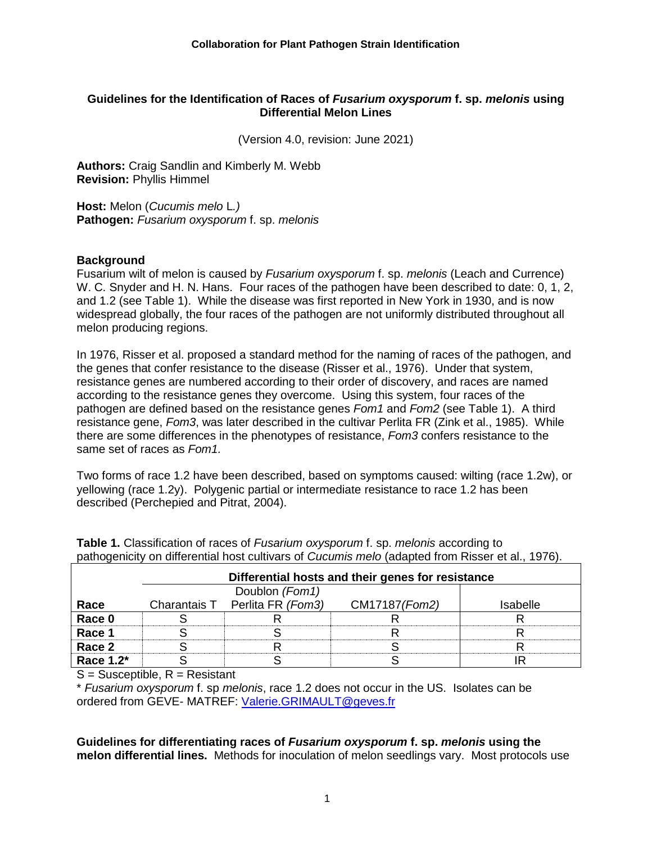#### **Guidelines for the Identification of Races of** *Fusarium oxysporum* **f. sp.** *melonis* **using Differential Melon Lines**

(Version 4.0, revision: June 2021)

**Authors:** Craig Sandlin and Kimberly M. Webb **Revision:** Phyllis Himmel

**Host:** Melon (*Cucumis melo* L*.)* **Pathogen:** *Fusarium oxysporum* f. sp. *melonis*

#### **Background**

Fusarium wilt of melon is caused by *Fusarium oxysporum* f. sp. *melonis* (Leach and Currence) W. C. Snyder and H. N. Hans. Four races of the pathogen have been described to date: 0, 1, 2, and 1.2 (see Table 1). While the disease was first reported in New York in 1930, and is now widespread globally, the four races of the pathogen are not uniformly distributed throughout all melon producing regions.

In 1976, Risser et al. proposed a standard method for the naming of races of the pathogen, and the genes that confer resistance to the disease (Risser et al., 1976). Under that system, resistance genes are numbered according to their order of discovery, and races are named according to the resistance genes they overcome. Using this system, four races of the pathogen are defined based on the resistance genes *Fom1* and *Fom2* (see Table 1). A third resistance gene, *Fom3*, was later described in the cultivar Perlita FR (Zink et al., 1985). While there are some differences in the phenotypes of resistance, *Fom3* confers resistance to the same set of races as *Fom1.*

Two forms of race 1.2 have been described, based on symptoms caused: wilting (race 1.2w), or yellowing (race 1.2y). Polygenic partial or intermediate resistance to race 1.2 has been described (Perchepied and Pitrat, 2004).

|           | Differential hosts and their genes for resistance |                                |               |                 |
|-----------|---------------------------------------------------|--------------------------------|---------------|-----------------|
|           |                                                   | Doublon (Fom1)                 |               |                 |
| Race      |                                                   | Charantais T Perlita FR (Fom3) | CM17187(Fom2) | <b>Isabelle</b> |
| Race 0    |                                                   |                                |               |                 |
| Race 1    |                                                   |                                |               |                 |
| Race 2    |                                                   |                                |               |                 |
| Race 1.2* |                                                   |                                |               |                 |

**Table 1.** Classification of races of *Fusarium oxysporum* f. sp. *melonis* according to pathogenicity on differential host cultivars of *Cucumis melo* (adapted from Risser et al., 1976).

 $S =$  Susceptible,  $R =$  Resistant

\* *Fusarium oxysporum* f. sp *melonis*, race 1.2 does not occur in the US. Isolates can be ordered from GEVE- MATREF: [Valerie.GRIMAULT@geves.fr](mailto:Valerie.GRIMAULT@geves.fr)

**Guidelines for differentiating races of** *Fusarium oxysporum* **f. sp.** *melonis* **using the melon differential lines.** Methods for inoculation of melon seedlings vary. Most protocols use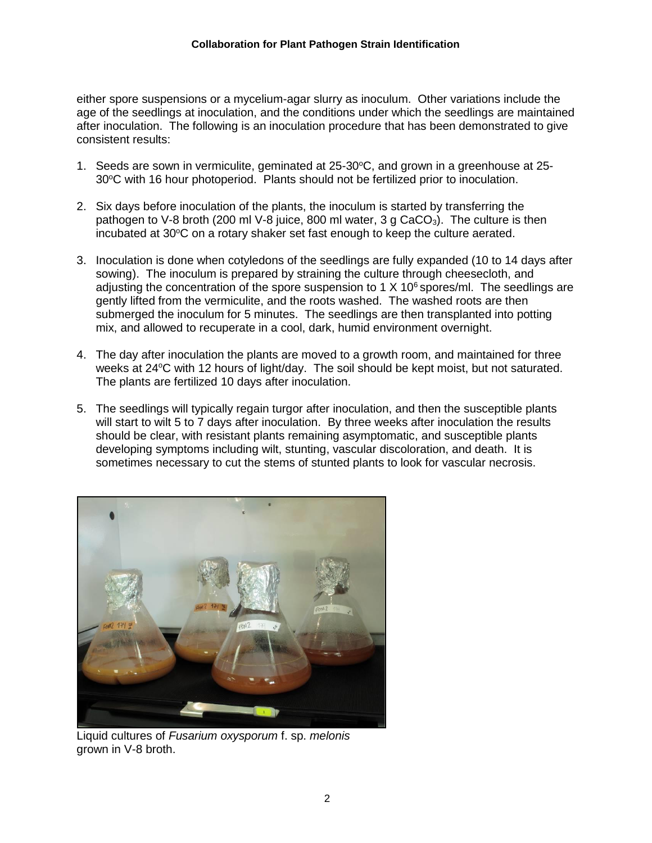either spore suspensions or a mycelium-agar slurry as inoculum. Other variations include the age of the seedlings at inoculation, and the conditions under which the seedlings are maintained after inoculation. The following is an inoculation procedure that has been demonstrated to give consistent results:

- 1. Seeds are sown in vermiculite, geminated at  $25{\text -}30^{\circ}$ C, and grown in a greenhouse at  $25{\text -}$ 30°C with 16 hour photoperiod. Plants should not be fertilized prior to inoculation.
- 2. Six days before inoculation of the plants, the inoculum is started by transferring the pathogen to V-8 broth (200 ml V-8 juice, 800 ml water, 3 g  $CaCO<sub>3</sub>$ ). The culture is then incubated at  $30^{\circ}$ C on a rotary shaker set fast enough to keep the culture aerated.
- 3. Inoculation is done when cotyledons of the seedlings are fully expanded (10 to 14 days after sowing). The inoculum is prepared by straining the culture through cheesecloth, and adjusting the concentration of the spore suspension to 1  $X$  10<sup>6</sup> spores/ml. The seedlings are gently lifted from the vermiculite, and the roots washed. The washed roots are then submerged the inoculum for 5 minutes. The seedlings are then transplanted into potting mix, and allowed to recuperate in a cool, dark, humid environment overnight.
- 4. The day after inoculation the plants are moved to a growth room, and maintained for three weeks at 24°C with 12 hours of light/day. The soil should be kept moist, but not saturated. The plants are fertilized 10 days after inoculation.
- 5. The seedlings will typically regain turgor after inoculation, and then the susceptible plants will start to wilt 5 to 7 days after inoculation. By three weeks after inoculation the results should be clear, with resistant plants remaining asymptomatic, and susceptible plants developing symptoms including wilt, stunting, vascular discoloration, and death. It is sometimes necessary to cut the stems of stunted plants to look for vascular necrosis.



Liquid cultures of *Fusarium oxysporum* f. sp. *melonis* grown in V-8 broth.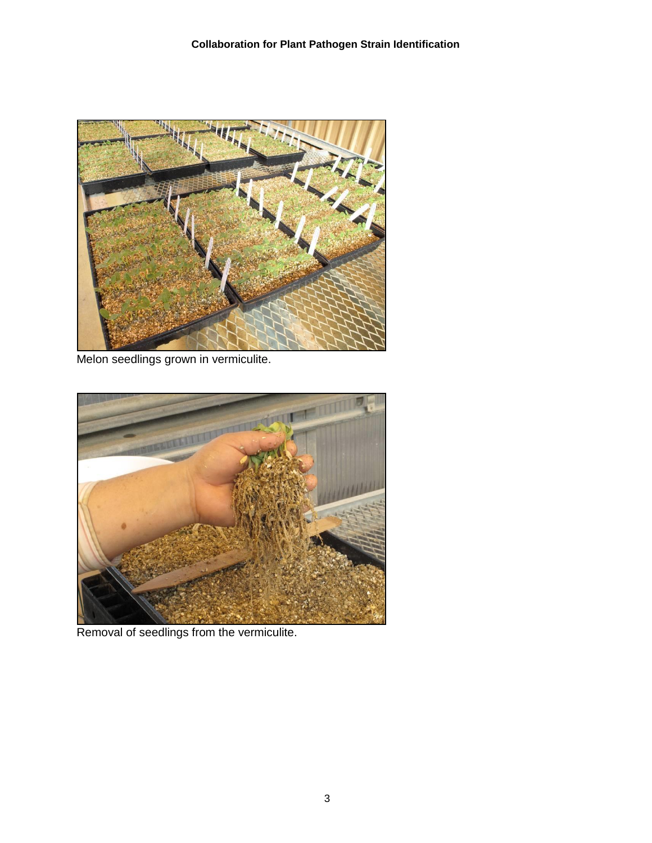

Melon seedlings grown in vermiculite.



Removal of seedlings from the vermiculite.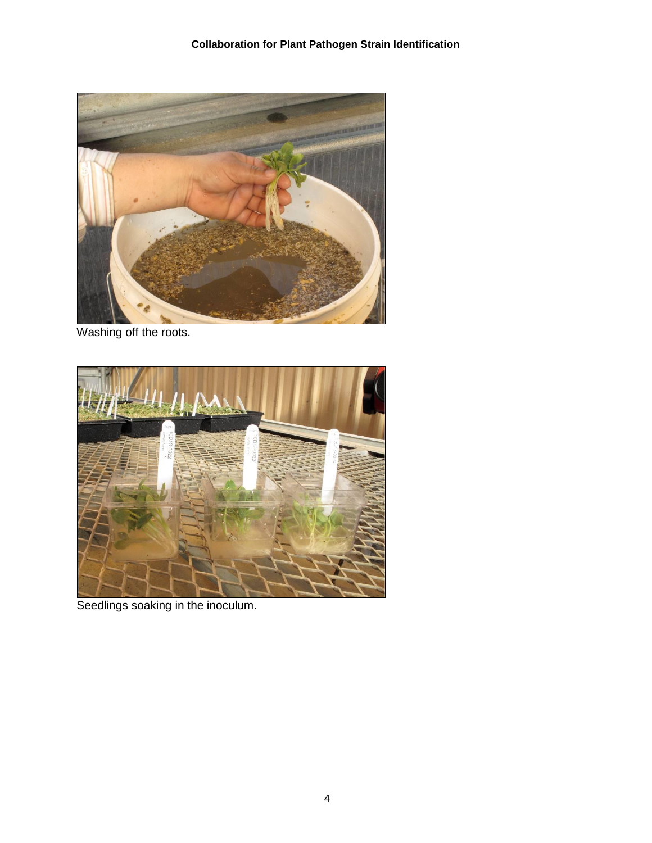

Washing off the roots.



Seedlings soaking in the inoculum.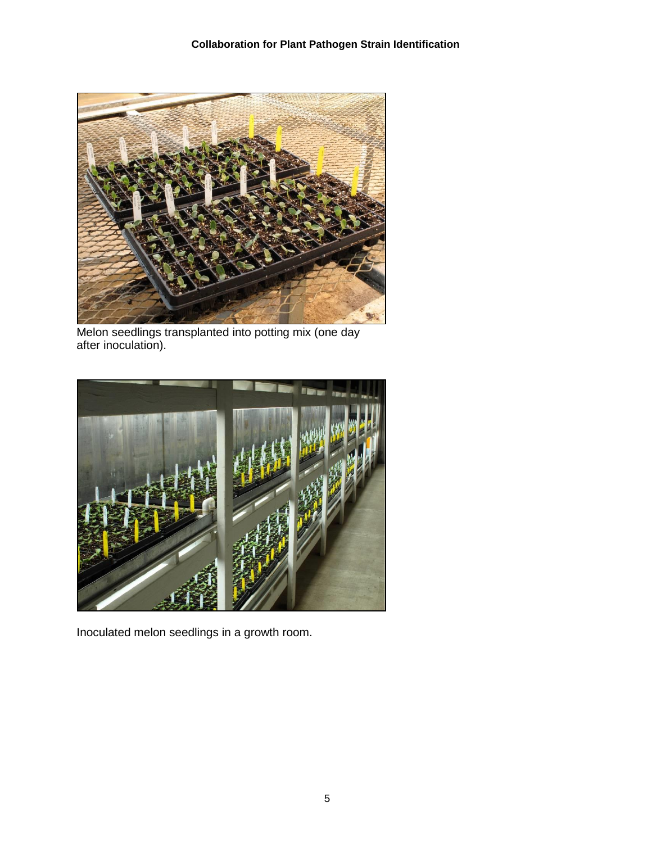

Melon seedlings transplanted into potting mix (one day after inoculation).



Inoculated melon seedlings in a growth room.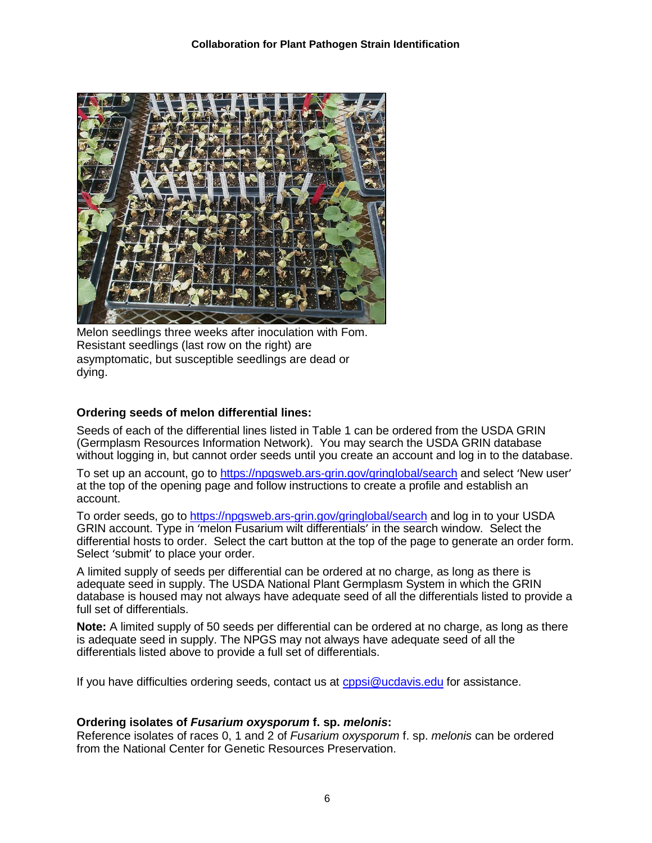

Melon seedlings three weeks after inoculation with Fom. Resistant seedlings (last row on the right) are asymptomatic, but susceptible seedlings are dead or dying.

# **Ordering seeds of melon differential lines:**

Seeds of each of the differential lines listed in Table 1 can be ordered from the USDA GRIN (Germplasm Resources Information Network). You may search the USDA GRIN database without logging in, but cannot order seeds until you create an account and log in to the database.

To set up an account, go to [https://npgsweb.ars-grin.gov/gringlobal/search](https://npgsweb.ars-grin.gov/gringlobal/search.) and select 'New user' at the top of the opening page and follow instructions to create a profile and establish an account.

To order seeds, go to<https://npgsweb.ars-grin.gov/gringlobal/search> and log in to your USDA GRIN account. Type in 'melon Fusarium wilt differentials' in the search window. Select the differential hosts to order. Select the cart button at the top of the page to generate an order form. Select 'submit' to place your order.

A limited supply of seeds per differential can be ordered at no charge, as long as there is adequate seed in supply. The USDA National Plant Germplasm System in which the GRIN database is housed may not always have adequate seed of all the differentials listed to provide a full set of differentials.

**Note:** A limited supply of 50 seeds per differential can be ordered at no charge, as long as there is adequate seed in supply. The NPGS may not always have adequate seed of all the differentials listed above to provide a full set of differentials.

If you have difficulties ordering seeds, contact us at [cppsi@ucdavis.edu](mailto:cppsi@ucdavis.edu) for assistance.

# **Ordering isolates of** *Fusarium oxysporum* **f. sp.** *melonis***:**

Reference isolates of races 0, 1 and 2 of *Fusarium oxysporum* f. sp. *melonis* can be ordered from the National Center for Genetic Resources Preservation.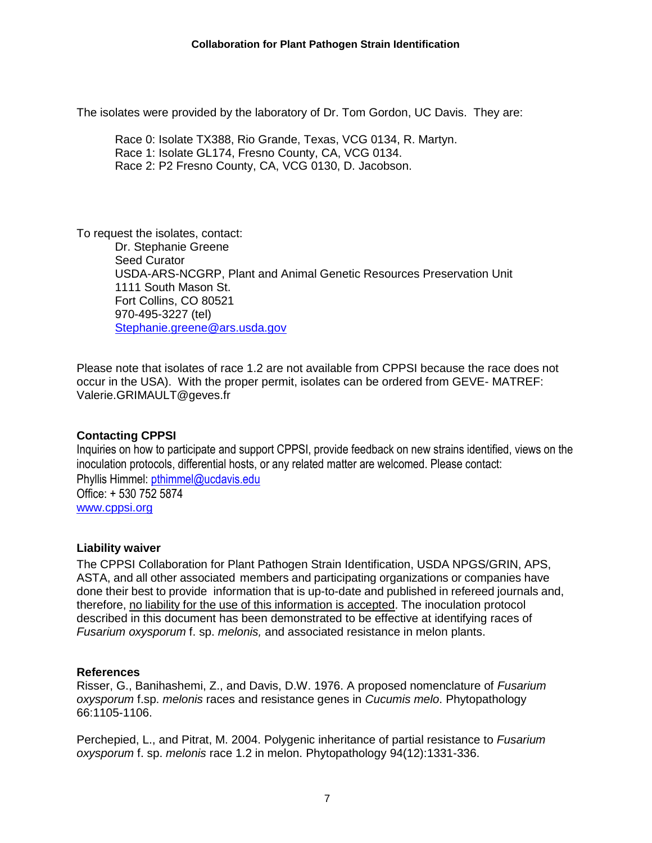The isolates were provided by the laboratory of Dr. Tom Gordon, UC Davis. They are:

Race 0: Isolate TX388, Rio Grande, Texas, VCG 0134, R. Martyn. Race 1: Isolate GL174, Fresno County, CA, VCG 0134. Race 2: P2 Fresno County, CA, VCG 0130, D. Jacobson.

To request the isolates, contact: Dr. Stephanie Greene Seed Curator USDA-ARS-NCGRP, Plant and Animal Genetic Resources Preservation Unit 1111 South Mason St. Fort Collins, CO 80521 970-495-3227 (tel) [Stephanie.greene@ars.usda.gov](mailto:Stephanie.greene@ars.usda.gov)

Please note that isolates of race 1.2 are not available from CPPSI because the race does not occur in the USA). With the proper permit, isolates can be ordered from GEVE- MATREF: Valerie.GRIMAULT@geves.fr

# **Contacting CPPSI**

Inquiries on how to participate and support CPPSI, provide feedback on new strains identified, views on the inoculation protocols, differential hosts, or any related matter are welcomed. Please contact: Phyllis Himmel: [pthimmel@ucdavis.edu](mailto:pthimmel@ucdavis.edu) Office: + 530 752 <sup>5874</sup> [www.cppsi.org](http://www.cppsi.opr/)

# **Liability waiver**

The CPPSI Collaboration for Plant Pathogen Strain Identification, USDA NPGS/GRIN, APS, ASTA, and all other associated members and participating organizations or companies have done their best to provide information that is up-to-date and published in refereed journals and, therefore, no liability for the use of this information is accepted. The inoculation protocol described in this document has been demonstrated to be effective at identifying races of *Fusarium oxysporum* f. sp. *melonis,* and associated resistance in melon plants.

#### **References**

Risser, G., Banihashemi, Z., and Davis, D.W. 1976. A proposed nomenclature of *Fusarium oxysporum* f.sp. *melonis* races and resistance genes in *Cucumis melo*. Phytopathology 66:1105-1106.

Perchepied, L., and Pitrat, M. 2004. Polygenic inheritance of partial resistance to *Fusarium oxysporum* f. sp. *melonis* race 1.2 in melon. Phytopathology 94(12):1331-336.